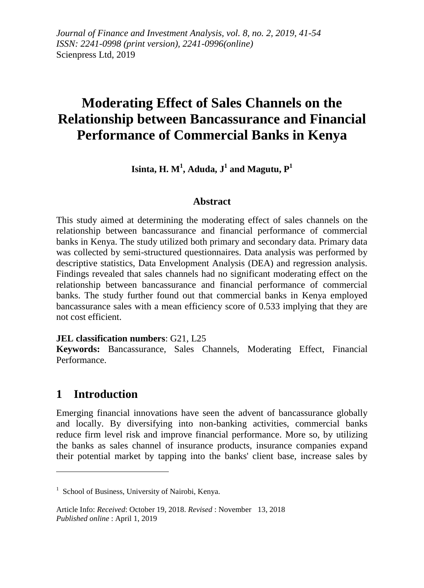*Journal of Finance and Investment Analysis, vol. 8, no. 2, 2019, 41-54 ISSN: 2241-0998 (print version), 2241-0996(online)* Scienpress Ltd, 2019

# **Moderating Effect of Sales Channels on the Relationship between Bancassurance and Financial Performance of Commercial Banks in Kenya**

 $\mathbf{I}$ sinta,  $\mathbf{H}$ .  $\mathbf{M}^1$ ,  $\mathbf{A}$ duda,  $\mathbf{J}^1$  and  $\mathbf{M}$ agutu,  $\mathbf{P}^1$ 

### **Abstract**

This study aimed at determining the moderating effect of sales channels on the relationship between bancassurance and financial performance of commercial banks in Kenya. The study utilized both primary and secondary data. Primary data was collected by semi-structured questionnaires. Data analysis was performed by descriptive statistics, Data Envelopment Analysis (DEA) and regression analysis. Findings revealed that sales channels had no significant moderating effect on the relationship between bancassurance and financial performance of commercial banks. The study further found out that commercial banks in Kenya employed bancassurance sales with a mean efficiency score of 0.533 implying that they are not cost efficient.

#### **JEL classification numbers**: G21, L25

**Keywords:** Bancassurance, Sales Channels, Moderating Effect, Financial Performance.

### **1 Introduction**

1

Emerging financial innovations have seen the advent of bancassurance globally and locally. By diversifying into non-banking activities, commercial banks reduce firm level risk and improve financial performance. More so, by utilizing the banks as sales channel of insurance products, insurance companies expand their potential market by tapping into the banks' client base, increase sales by

<sup>&</sup>lt;sup>1</sup> School of Business, University of Nairobi, Kenya.

Article Info: *Received*: October 19, 2018. *Revised* : November 13, 2018 *Published online* : April 1, 2019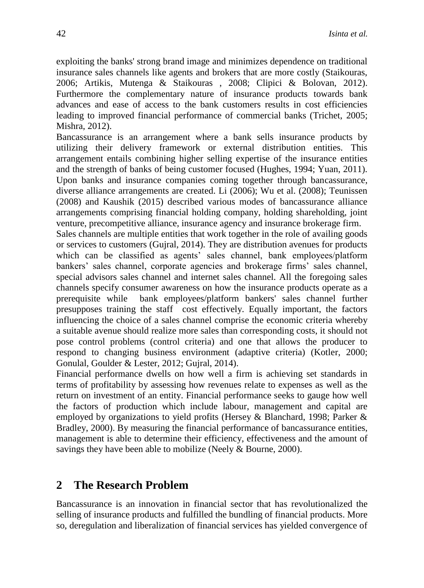exploiting the banks' strong brand image and minimizes dependence on traditional insurance sales channels like agents and brokers that are more costly (Staikouras, 2006; Artikis, Mutenga & Staikouras , 2008; Clipici & Bolovan, 2012). Furthermore the complementary nature of insurance products towards bank advances and ease of access to the bank customers results in cost efficiencies leading to improved financial performance of commercial banks (Trichet, 2005; Mishra, 2012).

Bancassurance is an arrangement where a bank sells insurance products by utilizing their delivery framework or external distribution entities. This arrangement entails combining higher selling expertise of the insurance entities and the strength of banks of being customer focused (Hughes, 1994; Yuan, 2011). Upon banks and insurance companies coming together through bancassurance, diverse alliance arrangements are created. Li (2006); Wu et al. (2008); Teunissen (2008) and Kaushik (2015) described various modes of bancassurance alliance arrangements comprising financial holding company, holding shareholding, joint venture, precompetitive alliance, insurance agency and insurance brokerage firm.

Sales channels are multiple entities that work together in the role of availing goods or services to customers (Gujral, 2014). They are distribution avenues for products which can be classified as agents' sales channel, bank employees/platform bankers' sales channel, corporate agencies and brokerage firms' sales channel, special advisors sales channel and internet sales channel. All the foregoing sales channels specify consumer awareness on how the insurance products operate as a prerequisite while bank employees/platform bankers' sales channel further presupposes training the staff cost effectively. Equally important, the factors influencing the choice of a sales channel comprise the economic criteria whereby a suitable avenue should realize more sales than corresponding costs, it should not pose control problems (control criteria) and one that allows the producer to respond to changing business environment (adaptive criteria) (Kotler, 2000; Gonulal, Goulder & Lester, 2012; Gujral, 2014).

Financial performance dwells on how well a firm is achieving set standards in terms of profitability by assessing how revenues relate to expenses as well as the return on investment of an entity. Financial performance seeks to gauge how well the factors of production which include labour, management and capital are employed by organizations to yield profits (Hersey & Blanchard, 1998; Parker & Bradley, 2000). By measuring the financial performance of bancassurance entities, management is able to determine their efficiency, effectiveness and the amount of savings they have been able to mobilize (Neely  $\&$  Bourne, 2000).

# **2 The Research Problem**

Bancassurance is an innovation in financial sector that has revolutionalized the selling of insurance products and fulfilled the bundling of financial products. More so, deregulation and liberalization of financial services has yielded convergence of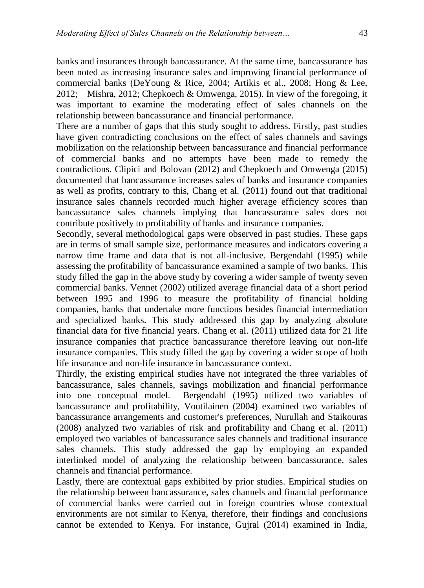banks and insurances through bancassurance. At the same time, bancassurance has been noted as increasing insurance sales and improving financial performance of commercial banks (DeYoung & Rice, 2004; Artikis et al., 2008; Hong & Lee, 2012; Mishra, 2012; Chepkoech & Omwenga, 2015). In view of the foregoing, it was important to examine the moderating effect of sales channels on the relationship between bancassurance and financial performance.

There are a number of gaps that this study sought to address. Firstly, past studies have given contradicting conclusions on the effect of sales channels and savings mobilization on the relationship between bancassurance and financial performance of commercial banks and no attempts have been made to remedy the contradictions. Clipici and Bolovan (2012) and Chepkoech and Omwenga (2015) documented that bancassurance increases sales of banks and insurance companies as well as profits, contrary to this, Chang et al. (2011) found out that traditional insurance sales channels recorded much higher average efficiency scores than bancassurance sales channels implying that bancassurance sales does not contribute positively to profitability of banks and insurance companies.

Secondly, several methodological gaps were observed in past studies. These gaps are in terms of small sample size, performance measures and indicators covering a narrow time frame and data that is not all-inclusive. Bergendahl (1995) while assessing the profitability of bancassurance examined a sample of two banks. This study filled the gap in the above study by covering a wider sample of twenty seven commercial banks. Vennet (2002) utilized average financial data of a short period between 1995 and 1996 to measure the profitability of financial holding companies, banks that undertake more functions besides financial intermediation and specialized banks. This study addressed this gap by analyzing absolute financial data for five financial years. Chang et al. (2011) utilized data for 21 life insurance companies that practice bancassurance therefore leaving out non-life insurance companies. This study filled the gap by covering a wider scope of both life insurance and non-life insurance in bancassurance context.

Thirdly, the existing empirical studies have not integrated the three variables of bancassurance, sales channels, savings mobilization and financial performance into one conceptual model. Bergendahl (1995) utilized two variables of bancassurance and profitability, Voutilainen (2004) examined two variables of bancassurance arrangements and customer's preferences, Nurullah and Staikouras (2008) analyzed two variables of risk and profitability and Chang et al. (2011) employed two variables of bancassurance sales channels and traditional insurance sales channels. This study addressed the gap by employing an expanded interlinked model of analyzing the relationship between bancassurance, sales channels and financial performance.

Lastly, there are contextual gaps exhibited by prior studies. Empirical studies on the relationship between bancassurance, sales channels and financial performance of commercial banks were carried out in foreign countries whose contextual environments are not similar to Kenya, therefore, their findings and conclusions cannot be extended to Kenya. For instance, Gujral (2014) examined in India,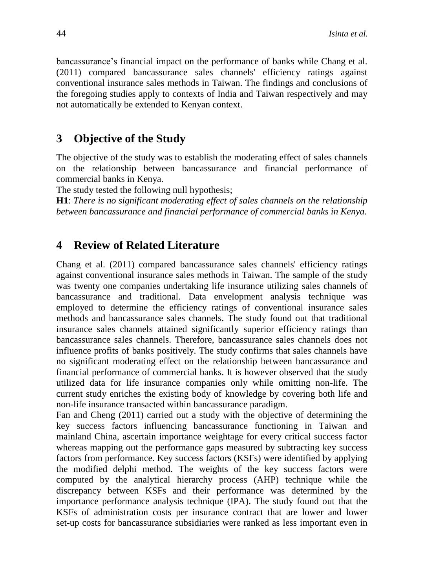bancassurance's financial impact on the performance of banks while Chang et al. (2011) compared bancassurance sales channels' efficiency ratings against conventional insurance sales methods in Taiwan. The findings and conclusions of the foregoing studies apply to contexts of India and Taiwan respectively and may not automatically be extended to Kenyan context.

# **3 Objective of the Study**

The objective of the study was to establish the moderating effect of sales channels on the relationship between bancassurance and financial performance of commercial banks in Kenya.

The study tested the following null hypothesis;

**H1**: *There is no significant moderating effect of sales channels on the relationship between bancassurance and financial performance of commercial banks in Kenya.*

# **4 Review of Related Literature**

Chang et al. (2011) compared bancassurance sales channels' efficiency ratings against conventional insurance sales methods in Taiwan. The sample of the study was twenty one companies undertaking life insurance utilizing sales channels of bancassurance and traditional. Data envelopment analysis technique was employed to determine the efficiency ratings of conventional insurance sales methods and bancassurance sales channels. The study found out that traditional insurance sales channels attained significantly superior efficiency ratings than bancassurance sales channels. Therefore, bancassurance sales channels does not influence profits of banks positively. The study confirms that sales channels have no significant moderating effect on the relationship between bancassurance and financial performance of commercial banks. It is however observed that the study utilized data for life insurance companies only while omitting non-life. The current study enriches the existing body of knowledge by covering both life and non-life insurance transacted within bancassurance paradigm.

Fan and Cheng (2011) carried out a study with the objective of determining the key success factors influencing bancassurance functioning in Taiwan and mainland China, ascertain importance weightage for every critical success factor whereas mapping out the performance gaps measured by subtracting key success factors from performance. Key success factors (KSFs) were identified by applying the modified delphi method. The weights of the key success factors were computed by the analytical hierarchy process (AHP) technique while the discrepancy between KSFs and their performance was determined by the importance performance analysis technique (IPA). The study found out that the KSFs of administration costs per insurance contract that are lower and lower set-up costs for bancassurance subsidiaries were ranked as less important even in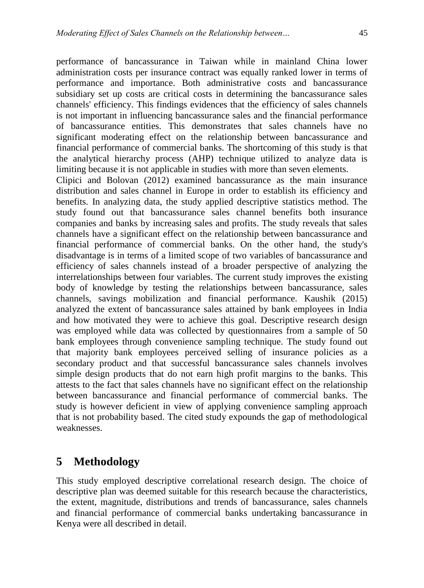performance of bancassurance in Taiwan while in mainland China lower administration costs per insurance contract was equally ranked lower in terms of performance and importance. Both administrative costs and bancassurance subsidiary set up costs are critical costs in determining the bancassurance sales channels' efficiency. This findings evidences that the efficiency of sales channels is not important in influencing bancassurance sales and the financial performance of bancassurance entities. This demonstrates that sales channels have no significant moderating effect on the relationship between bancassurance and financial performance of commercial banks. The shortcoming of this study is that the analytical hierarchy process (AHP) technique utilized to analyze data is limiting because it is not applicable in studies with more than seven elements. Clipici and Bolovan (2012) examined bancassurance as the main insurance distribution and sales channel in Europe in order to establish its efficiency and benefits. In analyzing data, the study applied descriptive statistics method. The study found out that bancassurance sales channel benefits both insurance companies and banks by increasing sales and profits. The study reveals that sales channels have a significant effect on the relationship between bancassurance and financial performance of commercial banks. On the other hand, the study's disadvantage is in terms of a limited scope of two variables of bancassurance and efficiency of sales channels instead of a broader perspective of analyzing the interrelationships between four variables. The current study improves the existing body of knowledge by testing the relationships between bancassurance, sales channels, savings mobilization and financial performance. Kaushik (2015) analyzed the extent of bancassurance sales attained by bank employees in India and how motivated they were to achieve this goal. Descriptive research design was employed while data was collected by questionnaires from a sample of 50 bank employees through convenience sampling technique. The study found out that majority bank employees perceived selling of insurance policies as a secondary product and that successful bancassurance sales channels involves simple design products that do not earn high profit margins to the banks. This attests to the fact that sales channels have no significant effect on the relationship between bancassurance and financial performance of commercial banks. The study is however deficient in view of applying convenience sampling approach that is not probability based. The cited study expounds the gap of methodological

# **5 Methodology**

weaknesses.

This study employed descriptive correlational research design. The choice of descriptive plan was deemed suitable for this research because the characteristics, the extent, magnitude, distributions and trends of bancassurance, sales channels and financial performance of commercial banks undertaking bancassurance in Kenya were all described in detail.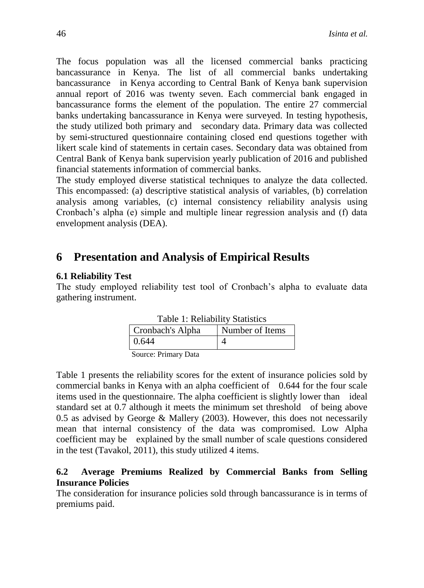The focus population was all the licensed commercial banks practicing bancassurance in Kenya. The list of all commercial banks undertaking bancassurance in Kenya according to Central Bank of Kenya bank supervision annual report of 2016 was twenty seven. Each commercial bank engaged in bancassurance forms the element of the population. The entire 27 commercial banks undertaking bancassurance in Kenya were surveyed. In testing hypothesis, the study utilized both primary and secondary data. Primary data was collected by semi-structured questionnaire containing closed end questions together with likert scale kind of statements in certain cases. Secondary data was obtained from Central Bank of Kenya bank supervision yearly publication of 2016 and published financial statements information of commercial banks.

The study employed diverse statistical techniques to analyze the data collected. This encompassed: (a) descriptive statistical analysis of variables, (b) correlation analysis among variables, (c) internal consistency reliability analysis using Cronbach's alpha (e) simple and multiple linear regression analysis and (f) data envelopment analysis (DEA).

# **6 Presentation and Analysis of Empirical Results**

#### **6.1 Reliability Test**

The study employed reliability test tool of Cronbach's alpha to evaluate data gathering instrument.

| Table 1: Reliability Statistics |                  |                 |  |
|---------------------------------|------------------|-----------------|--|
|                                 | Cronbach's Alpha | Number of Items |  |
|                                 | 0.644            |                 |  |
|                                 |                  |                 |  |

|  |  | Table 1: Reliability Statistics |  |
|--|--|---------------------------------|--|
|--|--|---------------------------------|--|

Source: Primary Data

Table 1 presents the reliability scores for the extent of insurance policies sold by commercial banks in Kenya with an alpha coefficient of 0.644 for the four scale items used in the questionnaire. The alpha coefficient is slightly lower than ideal standard set at 0.7 although it meets the minimum set threshold of being above 0.5 as advised by George & Mallery (2003). However, this does not necessarily mean that internal consistency of the data was compromised. Low Alpha coefficient may be explained by the small number of scale questions considered in the test (Tavakol, 2011), this study utilized 4 items.

### **6.2 Average Premiums Realized by Commercial Banks from Selling Insurance Policies**

The consideration for insurance policies sold through bancassurance is in terms of premiums paid.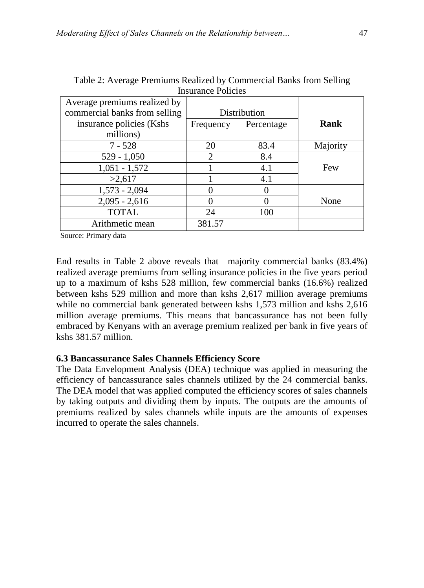| 11190101100 1 0110109         |              |            |          |
|-------------------------------|--------------|------------|----------|
| Average premiums realized by  |              |            |          |
| commercial banks from selling | Distribution |            |          |
| insurance policies (Kshs      | Frequency    | Percentage |          |
| millions)                     |              |            |          |
| $7 - 528$                     | 20           | 83.4       | Majority |
| $529 - 1,050$                 | 2            | 8.4        |          |
| $1,051 - 1,572$               |              | 4.1        | Few      |
| >2,617                        |              | 4.1        |          |
| $1,573 - 2,094$               |              |            |          |
| $2,095 - 2,616$               |              |            | None     |
| <b>TOTAL</b>                  | 24           | 100        |          |
| Arithmetic mean               | 381.57       |            |          |

Table 2: Average Premiums Realized by Commercial Banks from Selling Insurance Policies

Source: Primary data

End results in Table 2 above reveals that majority commercial banks (83.4%) realized average premiums from selling insurance policies in the five years period up to a maximum of kshs 528 million, few commercial banks (16.6%) realized between kshs 529 million and more than kshs 2,617 million average premiums while no commercial bank generated between kshs 1,573 million and kshs 2,616 million average premiums. This means that bancassurance has not been fully embraced by Kenyans with an average premium realized per bank in five years of kshs 381.57 million.

### **6.3 Bancassurance Sales Channels Efficiency Score**

The Data Envelopment Analysis (DEA) technique was applied in measuring the efficiency of bancassurance sales channels utilized by the 24 commercial banks. The DEA model that was applied computed the efficiency scores of sales channels by taking outputs and dividing them by inputs. The outputs are the amounts of premiums realized by sales channels while inputs are the amounts of expenses incurred to operate the sales channels.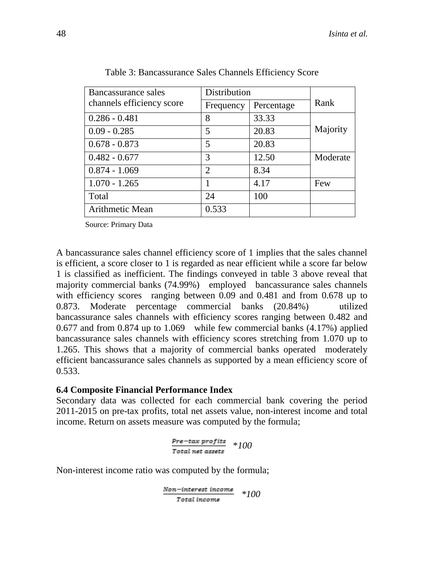| Bancassurance sales       | Distribution  |            |          |
|---------------------------|---------------|------------|----------|
| channels efficiency score | Frequency     | Percentage | Rank     |
| $0.286 - 0.481$           | 8             | 33.33      |          |
| $0.09 - 0.285$            | 5             | 20.83      | Majority |
| $0.678 - 0.873$           | 5             | 20.83      |          |
| $0.482 - 0.677$           | 3             | 12.50      | Moderate |
| $0.874 - 1.069$           | $\mathcal{D}$ | 8.34       |          |
| $1.070 - 1.265$           |               | 4.17       | Few      |
| Total                     | 24            | 100        |          |
| Arithmetic Mean           | 0.533         |            |          |

Table 3: Bancassurance Sales Channels Efficiency Score

Source: Primary Data

A bancassurance sales channel efficiency score of 1 implies that the sales channel is efficient, a score closer to 1 is regarded as near efficient while a score far below 1 is classified as inefficient. The findings conveyed in table 3 above reveal that majority commercial banks (74.99%) employed bancassurance sales channels with efficiency scores ranging between 0.09 and 0.481 and from 0.678 up to 0.873. Moderate percentage commercial banks (20.84%) utilized bancassurance sales channels with efficiency scores ranging between 0.482 and 0.677 and from 0.874 up to 1.069 while few commercial banks (4.17%) applied bancassurance sales channels with efficiency scores stretching from 1.070 up to 1.265. This shows that a majority of commercial banks operated moderately efficient bancassurance sales channels as supported by a mean efficiency score of 0.533.

#### **6.4 Composite Financial Performance Index**

Secondary data was collected for each commercial bank covering the period 2011-2015 on pre-tax profits, total net assets value, non-interest income and total income. Return on assets measure was computed by the formula;

$$
\frac{Pre-tax\text{ profits}}{Total\text{ net assets}} \quad *100
$$

Non-interest income ratio was computed by the formula;

$$
\frac{\textit{Non-interset income}}{\textit{Total income}} \quad *100
$$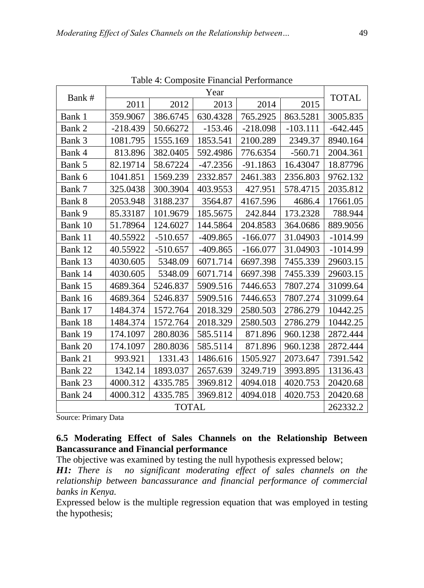|              | Year       |            |            |            |            |              |
|--------------|------------|------------|------------|------------|------------|--------------|
| Bank #       | 2011       | 2012       | 2013       | 2014       | 2015       | <b>TOTAL</b> |
| Bank 1       | 359.9067   | 386.6745   | 630.4328   | 765.2925   | 863.5281   | 3005.835     |
| Bank 2       | $-218.439$ | 50.66272   | $-153.46$  | $-218.098$ | $-103.111$ | $-642.445$   |
| Bank 3       | 1081.795   | 1555.169   | 1853.541   | 2100.289   | 2349.37    | 8940.164     |
| Bank 4       | 813.896    | 382.0405   | 592.4986   | 776.6354   | $-560.71$  | 2004.361     |
| Bank 5       | 82.19714   | 58.67224   | $-47.2356$ | $-91.1863$ | 16.43047   | 18.87796     |
| Bank 6       | 1041.851   | 1569.239   | 2332.857   | 2461.383   | 2356.803   | 9762.132     |
| Bank 7       | 325.0438   | 300.3904   | 403.9553   | 427.951    | 578.4715   | 2035.812     |
| Bank 8       | 2053.948   | 3188.237   | 3564.87    | 4167.596   | 4686.4     | 17661.05     |
| Bank 9       | 85.33187   | 101.9679   | 185.5675   | 242.844    | 173.2328   | 788.944      |
| Bank 10      | 51.78964   | 124.6027   | 144.5864   | 204.8583   | 364.0686   | 889.9056     |
| Bank 11      | 40.55922   | $-510.657$ | $-409.865$ | $-166.077$ | 31.04903   | $-1014.99$   |
| Bank 12      | 40.55922   | $-510.657$ | $-409.865$ | $-166.077$ | 31.04903   | $-1014.99$   |
| Bank 13      | 4030.605   | 5348.09    | 6071.714   | 6697.398   | 7455.339   | 29603.15     |
| Bank 14      | 4030.605   | 5348.09    | 6071.714   | 6697.398   | 7455.339   | 29603.15     |
| Bank 15      | 4689.364   | 5246.837   | 5909.516   | 7446.653   | 7807.274   | 31099.64     |
| Bank 16      | 4689.364   | 5246.837   | 5909.516   | 7446.653   | 7807.274   | 31099.64     |
| Bank 17      | 1484.374   | 1572.764   | 2018.329   | 2580.503   | 2786.279   | 10442.25     |
| Bank 18      | 1484.374   | 1572.764   | 2018.329   | 2580.503   | 2786.279   | 10442.25     |
| Bank 19      | 174.1097   | 280.8036   | 585.5114   | 871.896    | 960.1238   | 2872.444     |
| Bank 20      | 174.1097   | 280.8036   | 585.5114   | 871.896    | 960.1238   | 2872.444     |
| Bank 21      | 993.921    | 1331.43    | 1486.616   | 1505.927   | 2073.647   | 7391.542     |
| Bank 22      | 1342.14    | 1893.037   | 2657.639   | 3249.719   | 3993.895   | 13136.43     |
| Bank 23      | 4000.312   | 4335.785   | 3969.812   | 4094.018   | 4020.753   | 20420.68     |
| Bank 24      | 4000.312   | 4335.785   | 3969.812   | 4094.018   | 4020.753   | 20420.68     |
| <b>TOTAL</b> |            |            |            |            | 262332.2   |              |

Table 4: Composite Financial Performance

Source: Primary Data

### **6.5 Moderating Effect of Sales Channels on the Relationship Between Bancassurance and Financial performance**

The objective was examined by testing the null hypothesis expressed below;

*H1: There is no significant moderating effect of sales channels on the relationship between bancassurance and financial performance of commercial banks in Kenya.*

Expressed below is the multiple regression equation that was employed in testing the hypothesis;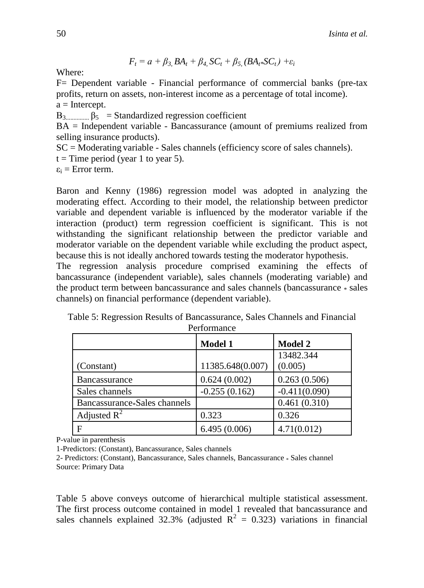$$
F_t = a + \beta_{3} B A_t + \beta_{4} SC_t + \beta_{5} (B A_t * SC_t) + \varepsilon_i
$$

Where:

F= Dependent variable - Financial performance of commercial banks (pre-tax profits, return on assets, non-interest income as a percentage of total income).  $a =$ Intercept.

Β3............... β<sup>5</sup> = Standardized regression coefficient

BA = Independent variable - Bancassurance (amount of premiums realized from selling insurance products).

SC = Moderating variable - Sales channels (efficiency score of sales channels).

 $t =$ Time period (year 1 to year 5).

 $\varepsilon_i$  = Error term.

Baron and Kenny (1986) regression model was adopted in analyzing the moderating effect. According to their model, the relationship between predictor variable and dependent variable is influenced by the moderator variable if the interaction (product) term regression coefficient is significant. This is not withstanding the significant relationship between the predictor variable and moderator variable on the dependent variable while excluding the product aspect, because this is not ideally anchored towards testing the moderator hypothesis.

The regression analysis procedure comprised examining the effects of bancassurance (independent variable), sales channels (moderating variable) and the product term between bancassurance and sales channels (bancassurance \* sales channels) on financial performance (dependent variable).

| Table 5: Regression Results of Bancassurance, Sales Channels and Financial |  |
|----------------------------------------------------------------------------|--|
| Performance                                                                |  |

|                              | <b>Model 1</b>   | <b>Model 2</b>  |
|------------------------------|------------------|-----------------|
|                              |                  | 13482.344       |
| (Constant)                   | 11385.648(0.007) | (0.005)         |
| <b>Bancassurance</b>         | 0.624(0.002)     | 0.263(0.506)    |
| Sales channels               | $-0.255(0.162)$  | $-0.411(0.090)$ |
| Bancassurance*Sales channels |                  | 0.461(0.310)    |
| Adjusted $R^2$               | 0.323            | 0.326           |
| F                            | 6.495(0.006)     | 4.71(0.012)     |

P-value in parenthesis

1-Predictors: (Constant), Bancassurance, Sales channels

2- Predictors: (Constant), Bancassurance, Sales channels, Bancassurance \* Sales channel Source: Primary Data

Table 5 above conveys outcome of hierarchical multiple statistical assessment. The first process outcome contained in model 1 revealed that bancassurance and sales channels explained 32.3% (adjusted  $R^2 = 0.323$ ) variations in financial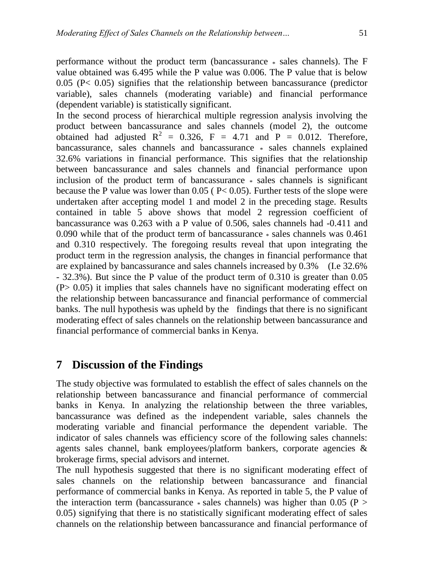performance without the product term (bancassurance \* sales channels). The F value obtained was 6.495 while the P value was 0.006. The P value that is below  $0.05$  (P< 0.05) signifies that the relationship between bancassurance (predictor variable), sales channels (moderating variable) and financial performance (dependent variable) is statistically significant.

In the second process of hierarchical multiple regression analysis involving the product between bancassurance and sales channels (model 2), the outcome obtained had adjusted  $R^2 = 0.326$ ,  $F = 4.71$  and  $P = 0.012$ . Therefore, bancassurance, sales channels and bancassurance \* sales channels explained 32.6% variations in financial performance. This signifies that the relationship between bancassurance and sales channels and financial performance upon inclusion of the product term of bancassurance \* sales channels is significant because the P value was lower than  $0.05$  ( $P< 0.05$ ). Further tests of the slope were undertaken after accepting model 1 and model 2 in the preceding stage. Results contained in table 5 above shows that model 2 regression coefficient of bancassurance was 0.263 with a P value of 0.506, sales channels had -0.411 and 0.090 while that of the product term of bancassurance \* sales channels was 0.461 and 0.310 respectively. The foregoing results reveal that upon integrating the product term in the regression analysis, the changes in financial performance that are explained by bancassurance and sales channels increased by 0.3% (I.e 32.6% - 32.3%). But since the P value of the product term of 0.310 is greater than 0.05 (P> 0.05) it implies that sales channels have no significant moderating effect on the relationship between bancassurance and financial performance of commercial banks. The null hypothesis was upheld by the findings that there is no significant moderating effect of sales channels on the relationship between bancassurance and financial performance of commercial banks in Kenya.

# **7 Discussion of the Findings**

The study objective was formulated to establish the effect of sales channels on the relationship between bancassurance and financial performance of commercial banks in Kenya. In analyzing the relationship between the three variables, bancassurance was defined as the independent variable, sales channels the moderating variable and financial performance the dependent variable. The indicator of sales channels was efficiency score of the following sales channels: agents sales channel, bank employees/platform bankers, corporate agencies & brokerage firms, special advisors and internet.

The null hypothesis suggested that there is no significant moderating effect of sales channels on the relationship between bancassurance and financial performance of commercial banks in Kenya. As reported in table 5, the P value of the interaction term (bancassurance  $*$  sales channels) was higher than 0.05 (P  $>$ 0.05) signifying that there is no statistically significant moderating effect of sales channels on the relationship between bancassurance and financial performance of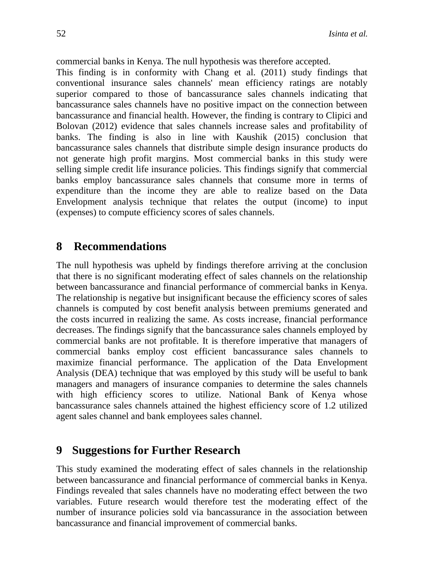commercial banks in Kenya. The null hypothesis was therefore accepted. This finding is in conformity with Chang et al. (2011) study findings that conventional insurance sales channels' mean efficiency ratings are notably superior compared to those of bancassurance sales channels indicating that bancassurance sales channels have no positive impact on the connection between bancassurance and financial health. However, the finding is contrary to Clipici and Bolovan (2012) evidence that sales channels increase sales and profitability of banks. The finding is also in line with Kaushik (2015) conclusion that bancassurance sales channels that distribute simple design insurance products do not generate high profit margins. Most commercial banks in this study were selling simple credit life insurance policies. This findings signify that commercial banks employ bancassurance sales channels that consume more in terms of expenditure than the income they are able to realize based on the Data Envelopment analysis technique that relates the output (income) to input (expenses) to compute efficiency scores of sales channels.

### **8 Recommendations**

The null hypothesis was upheld by findings therefore arriving at the conclusion that there is no significant moderating effect of sales channels on the relationship between bancassurance and financial performance of commercial banks in Kenya. The relationship is negative but insignificant because the efficiency scores of sales channels is computed by cost benefit analysis between premiums generated and the costs incurred in realizing the same. As costs increase, financial performance decreases. The findings signify that the bancassurance sales channels employed by commercial banks are not profitable. It is therefore imperative that managers of commercial banks employ cost efficient bancassurance sales channels to maximize financial performance. The application of the Data Envelopment Analysis (DEA) technique that was employed by this study will be useful to bank managers and managers of insurance companies to determine the sales channels with high efficiency scores to utilize. National Bank of Kenya whose bancassurance sales channels attained the highest efficiency score of 1.2 utilized agent sales channel and bank employees sales channel.

# **9 Suggestions for Further Research**

This study examined the moderating effect of sales channels in the relationship between bancassurance and financial performance of commercial banks in Kenya. Findings revealed that sales channels have no moderating effect between the two variables. Future research would therefore test the moderating effect of the number of insurance policies sold via bancassurance in the association between bancassurance and financial improvement of commercial banks.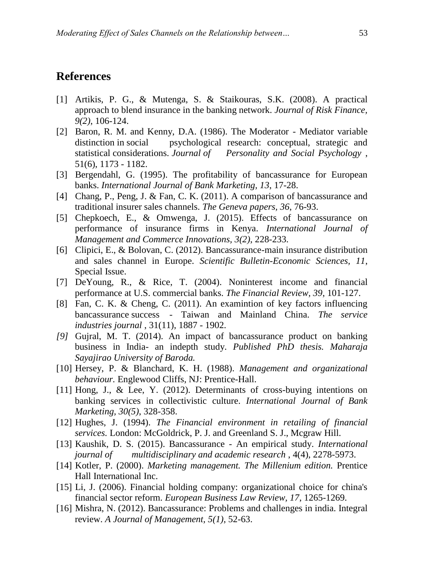# **References**

- [1] Artikis, P. G., & Mutenga, S. & Staikouras, S.K. (2008). A practical approach to blend insurance in the banking network. *Journal of Risk Finance, 9(2)*, 106-124.
- [2] Baron, R. M. and Kenny, D.A. (1986). The Moderator Mediator variable distinction in social psychological research: conceptual, strategic and statistical considerations. *Journal of Personality and Social Psychology* , 51(6), 1173 - 1182.
- [3] Bergendahl, G. (1995). The profitability of bancassurance for European banks. *International Journal of Bank Marketing, 13*, 17-28.
- [4] Chang, P., Peng, J. & Fan, C. K. (2011). A comparison of bancassurance and traditional insurer sales channels. *The Geneva papers, 36*, 76-93.
- [5] Chepkoech, E., & Omwenga, J. (2015). Effects of bancassurance on performance of insurance firms in Kenya. *International Journal of Management and Commerce Innovations, 3(2)*, 228-233.
- [6] Clipici, E., & Bolovan, C. (2012). Bancassurance-main insurance distribution and sales channel in Europe. *Scientific Bulletin-Economic Sciences, 11*, Special Issue.
- [7] DeYoung, R., & Rice, T. (2004). Noninterest income and financial performance at U.S. commercial banks. *The Financial Review, 39*, 101-127.
- [8] Fan, C. K. & Cheng, C. (2011). An examintion of key factors influencing bancassurance success - Taiwan and Mainland China. *The service industries journal* , 31(11), 1887 - 1902.
- *[9]* Gujral, M. T. (2014). An impact of bancassurance product on banking business in India- an indepth study. *Published PhD thesis. Maharaja Sayajirao University of Baroda.*
- [10] Hersey, P. & Blanchard, K. H. (1988). *Management and organizational behaviour.* Englewood Cliffs, NJ: Prentice-Hall.
- [11] Hong, J., & Lee, Y. (2012). Determinants of cross-buying intentions on banking services in collectivistic culture. *International Journal of Bank Marketing, 30(5)*, 328-358.
- [12] Hughes, J. (1994). *The Financial environment in retailing of financial services.* London: McGoldrick, P. J. and Greenland S. J., Mcgraw Hill.
- [13] Kaushik, D. S. (2015). Bancassurance An empirical study. *International journal of multidisciplinary and academic research* , 4(4), 2278-5973.
- [14] Kotler, P. (2000). *Marketing management. The Millenium edition.* Prentice Hall International Inc.
- [15] Li, J. (2006). Financial holding company: organizational choice for china's financial sector reform. *European Business Law Review, 17*, 1265-1269.
- [16] Mishra, N. (2012). Bancassurance: Problems and challenges in india. Integral review. *A Journal of Management, 5(1)*, 52-63.